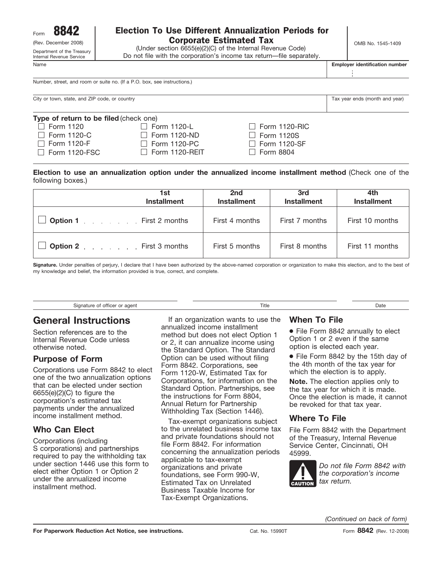Department of the Treasury Internal Revenue Service

# $F_{\text{form}}$  8842 | Election To Use Different Annualization Periods for (Rev. December 2008)  $\begin{array}{|c|c|c|c|c|}\n\hline\n\textbf{Comber 2008)} & & \textbf{Conportate Estimated Tax} \end{array}$  OMB No. 1545-1409

(Under section 6655(e)(2)(C) of the Internal Revenue Code) Do not file with the corporation's income tax return—file separately.

Name **Employer identification number**

Number, street, and room or suite no. (If a P.O. box, see instructions.)

City or town, state, and ZIP code, or country Tax year ends (month and year) City or town, state, and ZIP code, or country

| Type of return to be filed (check one) |                       |                      |  |
|----------------------------------------|-----------------------|----------------------|--|
| $\Box$ Form 1120                       | $\Box$ Form 1120-L    | $\Box$ Form 1120-RIC |  |
| $\Box$ Form 1120-C                     | $\Box$ Form 1120-ND   | $\Box$ Form 1120S    |  |
| $\Box$ Form 1120-F                     | $\Box$ Form 1120-PC   | $\Box$ Form 1120-SF  |  |
| $\Box$ Form 1120-FSC                   | $\Box$ Form 1120-REIT | $\Box$ Form 8804     |  |
|                                        |                       |                      |  |

**Election to use an annualization option under the annualized income installment method** (Check one of the following boxes.)

| 1st<br><b>Installment</b>      | 2nd<br><b>Installment</b> | 3rd<br><b>Installment</b> | 4th<br><b>Installment</b> |
|--------------------------------|---------------------------|---------------------------|---------------------------|
| <b>Option 1</b> First 2 months | First 4 months            | First 7 months            | First 10 months           |
| <b>Option 2</b> First 3 months | First 5 months            | First 8 months            | First 11 months           |

**Signature.** Under penalties of perjury, I declare that I have been authorized by the above-named corporation or organization to make this election, and to the best of my knowledge and belief, the information provided is true, correct, and complete.

| --<br>Signature of officer or agent<br>Title<br>. |  |
|---------------------------------------------------|--|
|---------------------------------------------------|--|

# **General Instructions**

Section references are to the Internal Revenue Code unless otherwise noted.

### **Purpose of Form**

Corporations use Form 8842 to elect one of the two annualization options that can be elected under section 6655(e)(2)(C) to figure the corporation's estimated tax payments under the annualized income installment method.

# **Who Can Elect**

Corporations (including S corporations) and partnerships required to pay the withholding tax under section 1446 use this form to elect either Option 1 or Option 2 under the annualized income installment method.

If an organization wants to use the annualized income installment method but does not elect Option 1 or 2, it can annualize income using the Standard Option. The Standard Option can be used without filing Form 8842. Corporations, see Form 1120-W, Estimated Tax for Corporations, for information on the Standard Option. Partnerships, see the instructions for Form 8804, Annual Return for Partnership Withholding Tax (Section 1446).

Tax-exempt organizations subject to the unrelated business income tax and private foundations should not file Form 8842. For information concerning the annualization periods applicable to tax-exempt organizations and private foundations, see Form 990-W, Estimated Tax on Unrelated Business Taxable Income for Tax-Exempt Organizations.

#### **When To File**

● File Form 8842 annually to elect Option 1 or 2 even if the same option is elected each year.

● File Form 8842 by the 15th day of the 4th month of the tax year for which the election is to apply.

**Note.** The election applies only to the tax year for which it is made. Once the election is made, it cannot be revoked for that tax year.

### **Where To File**

File Form 8842 with the Department of the Treasury, Internal Revenue Service Center, Cincinnati, OH 45999.



*Do not file Form 8842 with the corporation's income* tax return.